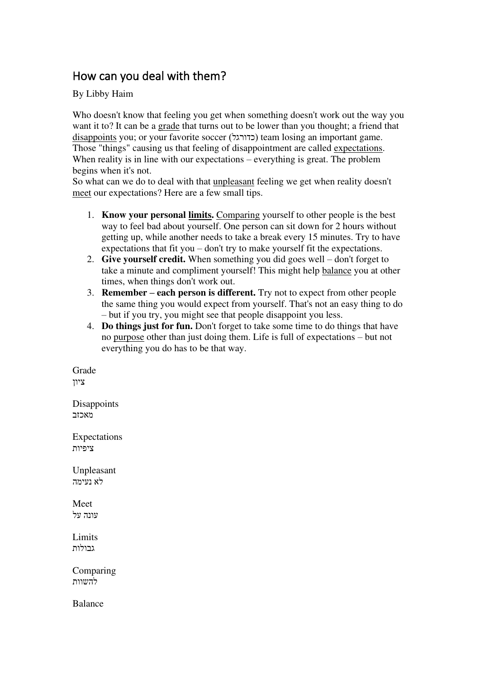## How can you deal with them?

By Libby Haim

Who doesn't know that feeling you get when something doesn't work out the way you want it to? It can be a grade that turns out to be lower than you thought; a friend that disappoints you; or your favorite soccer (כדורגל) team losing an important game. Those "things" causing us that feeling of disappointment are called expectations. When reality is in line with our expectations – everything is great. The problem begins when it's not.

So what can we do to deal with that unpleasant feeling we get when reality doesn't meet our expectations? Here are a few small tips.

- 1. **Know your personal limits.** Comparing yourself to other people is the best way to feel bad about yourself. One person can sit down for 2 hours without getting up, while another needs to take a break every 15 minutes. Try to have expectations that fit you – don't try to make yourself fit the expectations.
- 2. **Give yourself credit.** When something you did goes well don't forget to take a minute and compliment yourself! This might help balance you at other times, when things don't work out.
- 3. **Remember – each person is different.** Try not to expect from other people the same thing you would expect from yourself. That's not an easy thing to do – but if you try, you might see that people disappoint you less.
- 4. **Do things just for fun.** Don't forget to take some time to do things that have no purpose other than just doing them. Life is full of expectations – but not everything you do has to be that way.

Grade ציון

**Disappoints** מאכזב

Expectations ציפיות

Unpleasant לא נעימה

Meet עונה על

**Limits** גבולות

Comparing להשוות

Balance